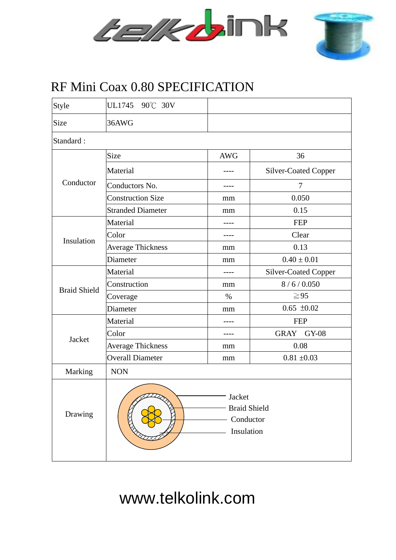



## RF Mini Coax 0.80 SPECIFICATION

| Style               | UL1745 90°C 30V                                          |            |                             |  |  |  |  |  |
|---------------------|----------------------------------------------------------|------------|-----------------------------|--|--|--|--|--|
| Size                | 36AWG                                                    |            |                             |  |  |  |  |  |
| Standard:           |                                                          |            |                             |  |  |  |  |  |
| Conductor           | Size                                                     | <b>AWG</b> | 36                          |  |  |  |  |  |
|                     | Material                                                 |            | <b>Silver-Coated Copper</b> |  |  |  |  |  |
|                     | Conductors No.                                           |            | $\tau$                      |  |  |  |  |  |
|                     | <b>Construction Size</b>                                 | mm         | 0.050                       |  |  |  |  |  |
|                     | <b>Stranded Diameter</b>                                 | mm         | 0.15                        |  |  |  |  |  |
| Insulation          | Material                                                 |            | <b>FEP</b>                  |  |  |  |  |  |
|                     | Color                                                    | ----       | Clear                       |  |  |  |  |  |
|                     | <b>Average Thickness</b>                                 | mm         | 0.13                        |  |  |  |  |  |
|                     | Diameter                                                 | mm         | $0.40 \pm 0.01$             |  |  |  |  |  |
| <b>Braid Shield</b> | Material                                                 |            | <b>Silver-Coated Copper</b> |  |  |  |  |  |
|                     | Construction                                             | mm         | 8/6/0.050                   |  |  |  |  |  |
|                     | Coverage                                                 | $\%$       | $\geq 95$                   |  |  |  |  |  |
|                     | Diameter                                                 | mm         | $0.65 \pm 0.02$             |  |  |  |  |  |
| Jacket              | Material                                                 | ----       | <b>FEP</b>                  |  |  |  |  |  |
|                     | Color                                                    |            | GRAY GY-08                  |  |  |  |  |  |
|                     | <b>Average Thickness</b>                                 | mm         | 0.08                        |  |  |  |  |  |
|                     | <b>Overall Diameter</b>                                  | mm         | $0.81 \pm 0.03$             |  |  |  |  |  |
| Marking             | <b>NON</b>                                               |            |                             |  |  |  |  |  |
| Drawing             | Jacket<br><b>Braid Shield</b><br>Conductor<br>Insulation |            |                             |  |  |  |  |  |

www.telkolink.com